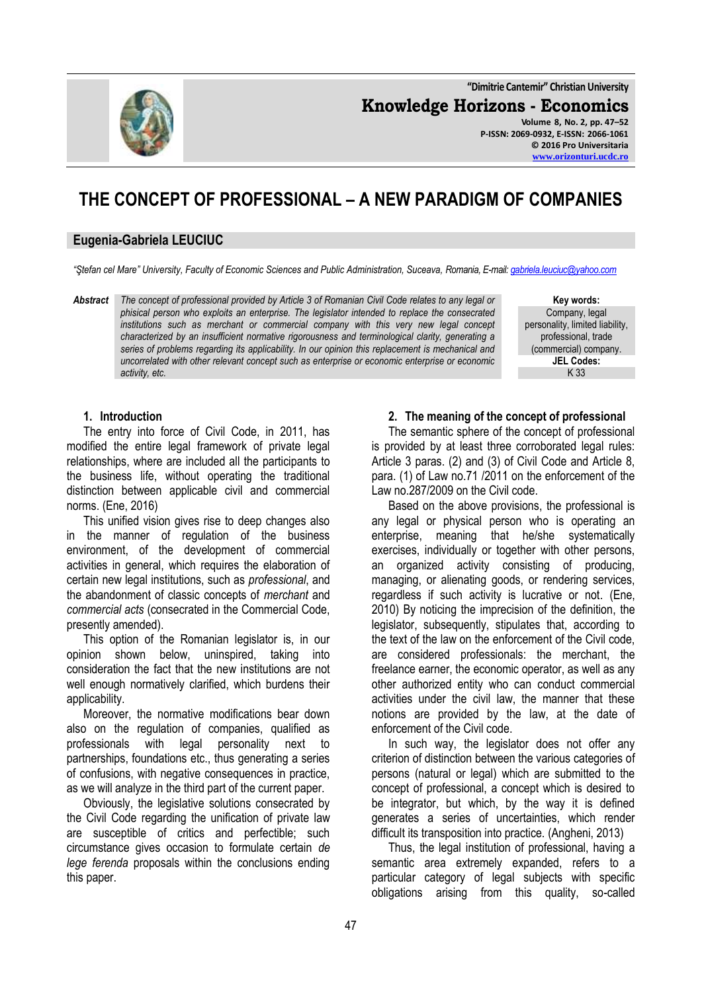**"Dimitrie Cantemir" Christian University**

**Knowledge Horizons - Economics Volume 8, No. 2, pp. 47–52**

**P-ISSN: 2069-0932, E-ISSN: 2066-1061 © 2016 Pro Universitaria [www.orizonturi.ucdc.ro](http://www.orizonturi.ucdc.ro/)**

# **THE CONCEPT OF PROFESSIONAL – A NEW PARADIGM OF COMPANIES**

### **Eugenia-Gabriela LEUCIUC**

*"Ştefan cel Mare" University, Faculty of Economic Sciences and Public Administration, Suceava, Romania, E-mail[: gabriela.leuciuc@yahoo.com](mailto:gabriela.leuciuc@yahoo.com)*

*Abstract The concept of professional provided by Article 3 of Romanian Civil Code relates to any legal or phisical person who exploits an enterprise. The legislator intended to replace the consecrated institutions such as merchant or commercial company with this very new legal concept characterized by an insufficient normative rigorousness and terminological clarity, generating a series of problems regarding its applicability. In our opinion this replacement is mechanical and uncorrelated with other relevant concept such as enterprise or economic enterprise or economic activity, etc.*

**Key words:** Company, legal personality, limited liability, professional, trade (commercial) company. **JEL Codes:** K 33

#### **1. Introduction**

The entry into force of Civil Code, in 2011, has modified the entire legal framework of private legal relationships, where are included all the participants to the business life, without operating the traditional distinction between applicable civil and commercial norms. (Ene, 2016)

This unified vision gives rise to deep changes also in the manner of regulation of the business environment, of the development of commercial activities in general, which requires the elaboration of certain new legal institutions, such as *professional*, and the abandonment of classic concepts of *merchant* and *commercial acts* (consecrated in the Commercial Code, presently amended).

This option of the Romanian legislator is, in our opinion shown below, uninspired, taking into consideration the fact that the new institutions are not well enough normatively clarified, which burdens their applicability.

Moreover, the normative modifications bear down also on the regulation of companies, qualified as professionals with legal personality next to partnerships, foundations etc., thus generating a series of confusions, with negative consequences in practice, as we will analyze in the third part of the current paper.

Obviously, the legislative solutions consecrated by the Civil Code regarding the unification of private law are susceptible of critics and perfectible; such circumstance gives occasion to formulate certain *de lege ferenda* proposals within the conclusions ending this paper.

#### **2. The meaning of the concept of professional**

The semantic sphere of the concept of professional is provided by at least three corroborated legal rules: Article 3 paras. (2) and (3) of Civil Code and Article 8, para. (1) of Law no.71 /2011 on the enforcement of the Law no.287/2009 on the Civil code.

Based on the above provisions, the professional is any legal or physical person who is operating an enterprise, meaning that he/she systematically exercises, individually or together with other persons, an organized activity consisting of producing, managing, or alienating goods, or rendering services, regardless if such activity is lucrative or not. (Ene, 2010) By noticing the imprecision of the definition, the legislator, subsequently, stipulates that, according to the text of the law on the enforcement of the Civil code, are considered professionals: the merchant, the freelance earner, the economic operator, as well as any other authorized entity who can conduct commercial activities under the civil law, the manner that these notions are provided by the law, at the date of enforcement of the Civil code.

In such way, the legislator does not offer any criterion of distinction between the various categories of persons (natural or legal) which are submitted to the concept of professional, a concept which is desired to be integrator, but which, by the way it is defined generates a series of uncertainties, which render difficult its transposition into practice. (Angheni, 2013)

Thus, the legal institution of professional, having a semantic area extremely expanded, refers to a particular category of legal subjects with specific obligations arising from this quality, so-called

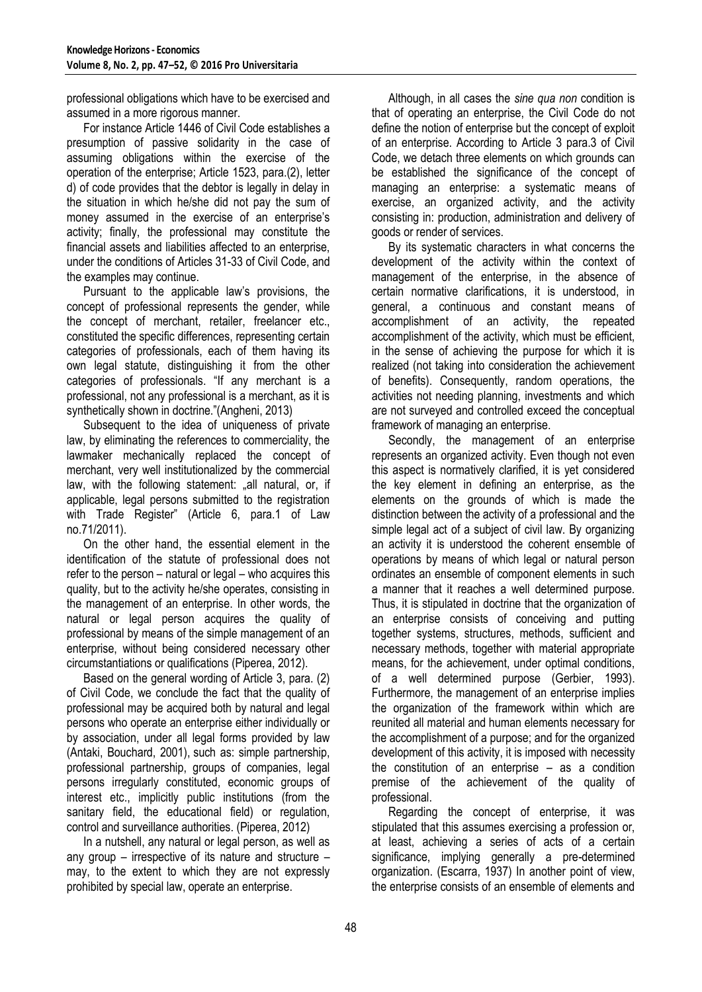professional obligations which have to be exercised and assumed in a more rigorous manner.

For instance Article 1446 of Civil Code establishes a presumption of passive solidarity in the case of assuming obligations within the exercise of the operation of the enterprise; Article 1523, para.(2), letter d) of code provides that the debtor is legally in delay in the situation in which he/she did not pay the sum of money assumed in the exercise of an enterprise's activity; finally, the professional may constitute the financial assets and liabilities affected to an enterprise, under the conditions of Articles 31-33 of Civil Code, and the examples may continue.

Pursuant to the applicable law's provisions, the concept of professional represents the gender, while the concept of merchant, retailer, freelancer etc., constituted the specific differences, representing certain categories of professionals, each of them having its own legal statute, distinguishing it from the other categories of professionals. "If any merchant is a professional, not any professional is a merchant, as it is synthetically shown in doctrine."(Angheni, 2013)

Subsequent to the idea of uniqueness of private law, by eliminating the references to commerciality, the lawmaker mechanically replaced the concept of merchant, very well institutionalized by the commercial law, with the following statement: "all natural, or, if applicable, legal persons submitted to the registration with Trade Register" (Article 6, para.1 of Law no.71/2011).

On the other hand, the essential element in the identification of the statute of professional does not refer to the person – natural or legal – who acquires this quality, but to the activity he/she operates, consisting in the management of an enterprise. In other words, the natural or legal person acquires the quality of professional by means of the simple management of an enterprise, without being considered necessary other circumstantiations or qualifications (Piperea, 2012).

Based on the general wording of Article 3, para. (2) of Civil Code, we conclude the fact that the quality of professional may be acquired both by natural and legal persons who operate an enterprise either individually or by association, under all legal forms provided by law (Antaki, Bouchard, 2001), such as: simple partnership, professional partnership, groups of companies, legal persons irregularly constituted, economic groups of interest etc., implicitly public institutions (from the sanitary field, the educational field) or regulation, control and surveillance authorities. (Piperea, 2012)

In a nutshell, any natural or legal person, as well as any group – irrespective of its nature and structure – may, to the extent to which they are not expressly prohibited by special law, operate an enterprise.

Although, in all cases the *sine qua non* condition is that of operating an enterprise, the Civil Code do not define the notion of enterprise but the concept of exploit of an enterprise. According to Article 3 para.3 of Civil Code, we detach three elements on which grounds can be established the significance of the concept of managing an enterprise: a systematic means of exercise, an organized activity, and the activity consisting in: production, administration and delivery of goods or render of services.

By its systematic characters in what concerns the development of the activity within the context of management of the enterprise, in the absence of certain normative clarifications, it is understood, in general, a continuous and constant means of accomplishment of an activity, the repeated accomplishment of the activity, which must be efficient, in the sense of achieving the purpose for which it is realized (not taking into consideration the achievement of benefits). Consequently, random operations, the activities not needing planning, investments and which are not surveyed and controlled exceed the conceptual framework of managing an enterprise.

Secondly, the management of an enterprise represents an organized activity. Even though not even this aspect is normatively clarified, it is yet considered the key element in defining an enterprise, as the elements on the grounds of which is made the distinction between the activity of a professional and the simple legal act of a subject of civil law. By organizing an activity it is understood the coherent ensemble of operations by means of which legal or natural person ordinates an ensemble of component elements in such a manner that it reaches a well determined purpose. Thus, it is stipulated in doctrine that the organization of an enterprise consists of conceiving and putting together systems, structures, methods, sufficient and necessary methods, together with material appropriate means, for the achievement, under optimal conditions, of a well determined purpose (Gerbier, 1993). Furthermore, the management of an enterprise implies the organization of the framework within which are reunited all material and human elements necessary for the accomplishment of a purpose; and for the organized development of this activity, it is imposed with necessity the constitution of an enterprise – as a condition premise of the achievement of the quality of professional.

Regarding the concept of enterprise, it was stipulated that this assumes exercising a profession or, at least, achieving a series of acts of a certain significance, implying generally a pre-determined organization. (Escarra, 1937) In another point of view, the enterprise consists of an ensemble of elements and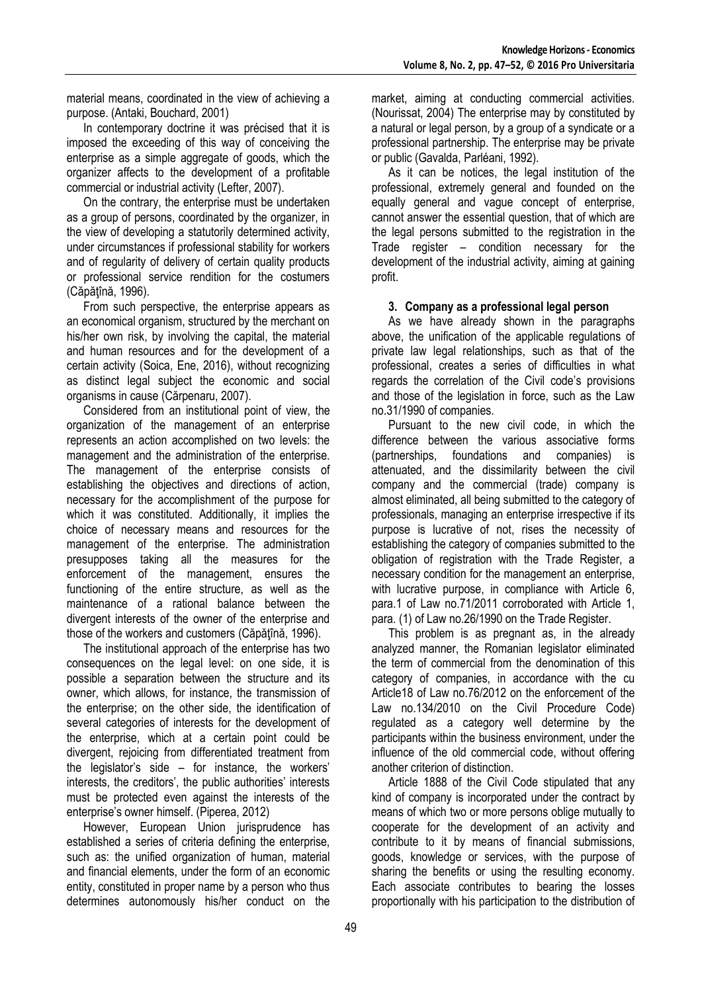material means, coordinated in the view of achieving a purpose. (Antaki, Bouchard, 2001)

In contemporary doctrine it was précised that it is imposed the exceeding of this way of conceiving the enterprise as a simple aggregate of goods, which the organizer affects to the development of a profitable commercial or industrial activity (Lefter, 2007).

On the contrary, the enterprise must be undertaken as a group of persons, coordinated by the organizer, in the view of developing a statutorily determined activity, under circumstances if professional stability for workers and of regularity of delivery of certain quality products or professional service rendition for the costumers (Căpăţînă, 1996).

From such perspective, the enterprise appears as an economical organism, structured by the merchant on his/her own risk, by involving the capital, the material and human resources and for the development of a certain activity (Soica, Ene, 2016), without recognizing as distinct legal subject the economic and social organisms in cause (Cărpenaru, 2007).

Considered from an institutional point of view, the organization of the management of an enterprise represents an action accomplished on two levels: the management and the administration of the enterprise. The management of the enterprise consists of establishing the objectives and directions of action, necessary for the accomplishment of the purpose for which it was constituted. Additionally, it implies the choice of necessary means and resources for the management of the enterprise. The administration presupposes taking all the measures for the enforcement of the management, ensures the functioning of the entire structure, as well as the maintenance of a rational balance between the divergent interests of the owner of the enterprise and those of the workers and customers (Căpăţînă, 1996).

The institutional approach of the enterprise has two consequences on the legal level: on one side, it is possible a separation between the structure and its owner, which allows, for instance, the transmission of the enterprise; on the other side, the identification of several categories of interests for the development of the enterprise, which at a certain point could be divergent, rejoicing from differentiated treatment from the legislator's side – for instance, the workers' interests, the creditors', the public authorities' interests must be protected even against the interests of the enterprise's owner himself. (Piperea, 2012)

However, European Union jurisprudence has established a series of criteria defining the enterprise, such as: the unified organization of human, material and financial elements, under the form of an economic entity, constituted in proper name by a person who thus determines autonomously his/her conduct on the

market, aiming at conducting commercial activities. (Nourissat, 2004) The enterprise may by constituted by a natural or legal person, by a group of a syndicate or a professional partnership. The enterprise may be private or public (Gavalda, Parléani, 1992).

As it can be notices, the legal institution of the professional, extremely general and founded on the equally general and vague concept of enterprise, cannot answer the essential question, that of which are the legal persons submitted to the registration in the Trade register – condition necessary for the development of the industrial activity, aiming at gaining profit.

## **3. Company as a professional legal person**

As we have already shown in the paragraphs above, the unification of the applicable regulations of private law legal relationships, such as that of the professional, creates a series of difficulties in what regards the correlation of the Civil code's provisions and those of the legislation in force, such as the Law no.31/1990 of companies.

Pursuant to the new civil code, in which the difference between the various associative forms (partnerships, foundations and companies) is attenuated, and the dissimilarity between the civil company and the commercial (trade) company is almost eliminated, all being submitted to the category of professionals, managing an enterprise irrespective if its purpose is lucrative of not, rises the necessity of establishing the category of companies submitted to the obligation of registration with the Trade Register, a necessary condition for the management an enterprise, with lucrative purpose, in compliance with Article 6. para.1 of Law no.71/2011 corroborated with Article 1, para. (1) of Law no.26/1990 on the Trade Register.

This problem is as pregnant as, in the already analyzed manner, the Romanian legislator eliminated the term of commercial from the denomination of this category of companies, in accordance with the cu Article18 of Law no.76/2012 on the enforcement of the Law no.134/2010 on the Civil Procedure Code) regulated as a category well determine by the participants within the business environment, under the influence of the old commercial code, without offering another criterion of distinction.

Article 1888 of the Civil Code stipulated that any kind of company is incorporated under the contract by means of which two or more persons oblige mutually to cooperate for the development of an activity and contribute to it by means of financial submissions, goods, knowledge or services, with the purpose of sharing the benefits or using the resulting economy. Each associate contributes to bearing the losses proportionally with his participation to the distribution of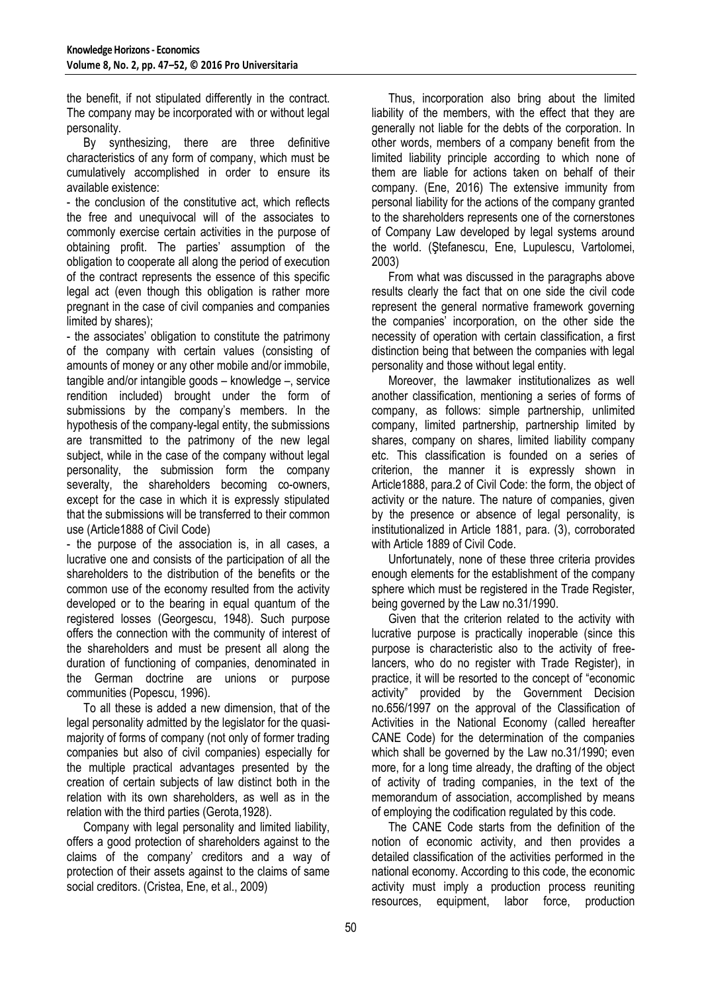the benefit, if not stipulated differently in the contract. The company may be incorporated with or without legal personality.

By synthesizing, there are three definitive characteristics of any form of company, which must be cumulatively accomplished in order to ensure its available existence:

- the conclusion of the constitutive act, which reflects the free and unequivocal will of the associates to commonly exercise certain activities in the purpose of obtaining profit. The parties' assumption of the obligation to cooperate all along the period of execution of the contract represents the essence of this specific legal act (even though this obligation is rather more pregnant in the case of civil companies and companies limited by shares);

- the associates' obligation to constitute the patrimony of the company with certain values (consisting of amounts of money or any other mobile and/or immobile, tangible and/or intangible goods – knowledge –, service rendition included) brought under the form of submissions by the company's members. In the hypothesis of the company-legal entity, the submissions are transmitted to the patrimony of the new legal subject, while in the case of the company without legal personality, the submission form the company severalty, the shareholders becoming co-owners, except for the case in which it is expressly stipulated that the submissions will be transferred to their common use (Article1888 of Civil Code)

- the purpose of the association is, in all cases, a lucrative one and consists of the participation of all the shareholders to the distribution of the benefits or the common use of the economy resulted from the activity developed or to the bearing in equal quantum of the registered losses (Georgescu, 1948). Such purpose offers the connection with the community of interest of the shareholders and must be present all along the duration of functioning of companies, denominated in the German doctrine are unions or purpose communities (Popescu, 1996).

To all these is added a new dimension, that of the legal personality admitted by the legislator for the quasimajority of forms of company (not only of former trading companies but also of civil companies) especially for the multiple practical advantages presented by the creation of certain subjects of law distinct both in the relation with its own shareholders, as well as in the relation with the third parties (Gerota,1928).

Company with legal personality and limited liability, offers a good protection of shareholders against to the claims of the company' creditors and a way of protection of their assets against to the claims of same social creditors. (Cristea, Ene, et al., 2009)

Thus, incorporation also bring about the limited liability of the members, with the effect that they are generally not liable for the debts of the corporation. In other words, members of a company benefit from the limited liability principle according to which none of them are liable for actions taken on behalf of their company. (Ene, 2016) The extensive immunity from personal liability for the actions of the company granted to the shareholders represents one of the cornerstones of Company Law developed by legal systems around the world. (Ştefanescu, Ene, Lupulescu, Vartolomei, 2003)

From what was discussed in the paragraphs above results clearly the fact that on one side the civil code represent the general normative framework governing the companies' incorporation, on the other side the necessity of operation with certain classification, a first distinction being that between the companies with legal personality and those without legal entity.

Moreover, the lawmaker institutionalizes as well another classification, mentioning a series of forms of company, as follows: simple partnership, unlimited company, limited partnership, partnership limited by shares, company on shares, limited liability company etc. This classification is founded on a series of criterion, the manner it is expressly shown in Article1888, para.2 of Civil Code: the form, the object of activity or the nature. The nature of companies, given by the presence or absence of legal personality, is institutionalized in Article 1881, para. (3), corroborated with Article 1889 of Civil Code.

Unfortunately, none of these three criteria provides enough elements for the establishment of the company sphere which must be registered in the Trade Register. being governed by the Law no.31/1990.

Given that the criterion related to the activity with lucrative purpose is practically inoperable (since this purpose is characteristic also to the activity of freelancers, who do no register with Trade Register), in practice, it will be resorted to the concept of "economic activity" provided by the Government Decision no.656/1997 on the approval of the Classification of Activities in the National Economy (called hereafter CANE Code) for the determination of the companies which shall be governed by the Law no.31/1990; even more, for a long time already, the drafting of the object of activity of trading companies, in the text of the memorandum of association, accomplished by means of employing the codification regulated by this code.

The CANE Code starts from the definition of the notion of economic activity, and then provides a detailed classification of the activities performed in the national economy. According to this code, the economic activity must imply a production process reuniting resources, equipment, labor force, production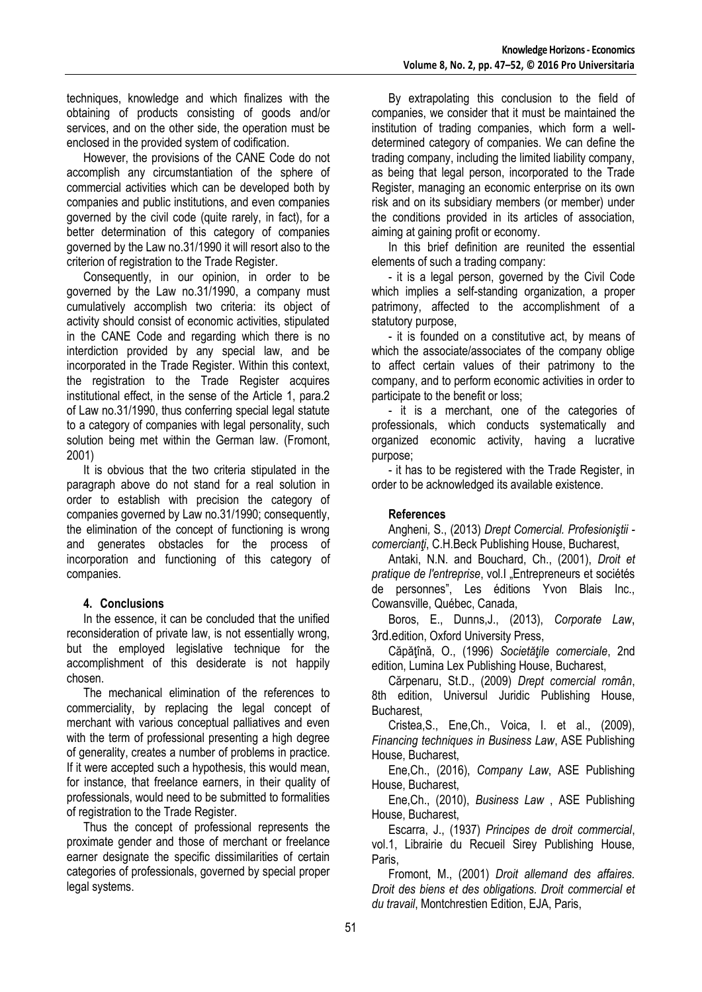techniques, knowledge and which finalizes with the obtaining of products consisting of goods and/or services, and on the other side, the operation must be enclosed in the provided system of codification.

However, the provisions of the CANE Code do not accomplish any circumstantiation of the sphere of commercial activities which can be developed both by companies and public institutions, and even companies governed by the civil code (quite rarely, in fact), for a better determination of this category of companies governed by the Law no.31/1990 it will resort also to the criterion of registration to the Trade Register.

Consequently, in our opinion, in order to be governed by the Law no.31/1990, a company must cumulatively accomplish two criteria: its object of activity should consist of economic activities, stipulated in the CANE Code and regarding which there is no interdiction provided by any special law, and be incorporated in the Trade Register. Within this context, the registration to the Trade Register acquires institutional effect, in the sense of the Article 1, para.2 of Law no.31/1990, thus conferring special legal statute to a category of companies with legal personality, such solution being met within the German law. (Fromont, 2001)

It is obvious that the two criteria stipulated in the paragraph above do not stand for a real solution in order to establish with precision the category of companies governed by Law no.31/1990; consequently, the elimination of the concept of functioning is wrong and generates obstacles for the process of incorporation and functioning of this category of companies.

## **4. Conclusions**

In the essence, it can be concluded that the unified reconsideration of private law, is not essentially wrong, but the employed legislative technique for the accomplishment of this desiderate is not happily chosen.

The mechanical elimination of the references to commerciality, by replacing the legal concept of merchant with various conceptual palliatives and even with the term of professional presenting a high degree of generality, creates a number of problems in practice. If it were accepted such a hypothesis, this would mean, for instance, that freelance earners, in their quality of professionals, would need to be submitted to formalities of registration to the Trade Register.

Thus the concept of professional represents the proximate gender and those of merchant or freelance earner designate the specific dissimilarities of certain categories of professionals, governed by special proper legal systems.

By extrapolating this conclusion to the field of companies, we consider that it must be maintained the institution of trading companies, which form a welldetermined category of companies. We can define the trading company, including the limited liability company, as being that legal person, incorporated to the Trade Register, managing an economic enterprise on its own risk and on its subsidiary members (or member) under the conditions provided in its articles of association, aiming at gaining profit or economy.

In this brief definition are reunited the essential elements of such a trading company:

- it is a legal person, governed by the Civil Code which implies a self-standing organization, a proper patrimony, affected to the accomplishment of a statutory purpose,

- it is founded on a constitutive act, by means of which the associate/associates of the company oblige to affect certain values of their patrimony to the company, and to perform economic activities in order to participate to the benefit or loss;

- it is a merchant, one of the categories of professionals, which conducts systematically and organized economic activity, having a lucrative purpose;

- it has to be registered with the Trade Register, in order to be acknowledged its available existence.

# **References**

Angheni*,* S., (2013) *Drept Comercial. Profesioniştii comercianţi*, C.H.Beck Publishing House, Bucharest,

Antaki, N.N. and Bouchard, Ch., (2001), *Droit et*  pratique de l'entreprise, vol.I "Entrepreneurs et sociétés de personnes", Les éditions Yvon Blais Inc., Cowansville, Québec, Canada,

Boros, E., Dunns,J., (2013), *Corporate Law*, 3rd.edition, Oxford University Press,

Căpăţînă, O., (1996) *Societăţile comerciale*, 2nd edition, Lumina Lex Publishing House, Bucharest,

Cărpenaru, St.D., (2009) *Drept comercial român*, 8th edition, Universul Juridic Publishing House, Bucharest,

Cristea,S., Ene,Ch., Voica, I. et al., (2009), *Financing techniques in Business Law*, ASE Publishing House, Bucharest,

Ene,Ch., (2016), *Company Law*, ASE Publishing House, Bucharest,

Ene,Ch., (2010), *Business Law* , ASE Publishing House, Bucharest,

Escarra, J., (1937) *Principes de droit commercial*, vol.1, Librairie du Recueil Sirey Publishing House, Paris,

Fromont, M., (2001) *Droit allemand des affaires. Droit des biens et des obligations. Droit commercial et du travail*, Montchrestien Edition, EJA, Paris,